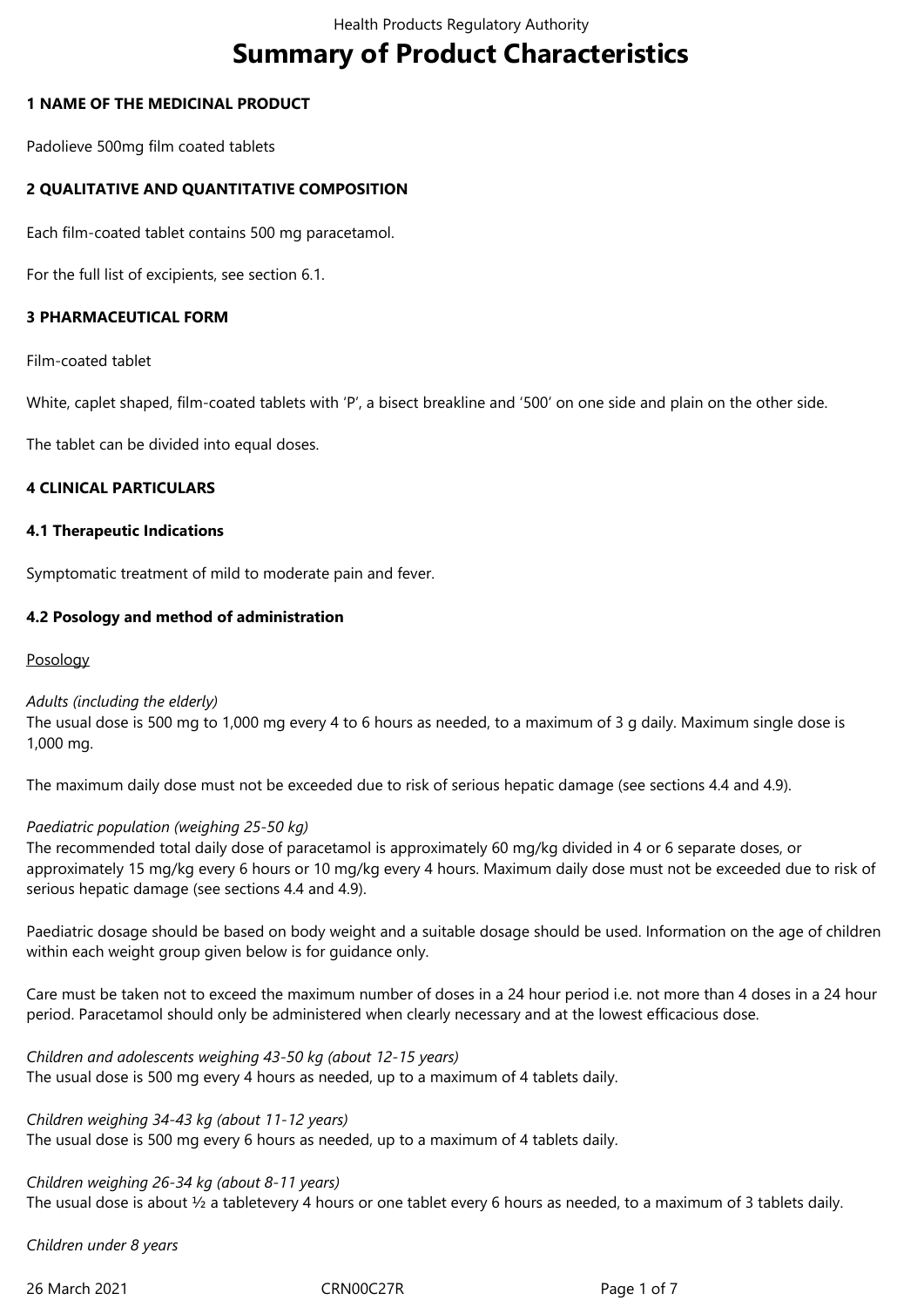# **Summary of Product Characteristics**

#### **1 NAME OF THE MEDICINAL PRODUCT**

Padolieve 500mg film coated tablets

#### **2 QUALITATIVE AND QUANTITATIVE COMPOSITION**

Each film-coated tablet contains 500 mg paracetamol.

For the full list of excipients, see section 6.1.

#### **3 PHARMACEUTICAL FORM**

Film-coated tablet

White, caplet shaped, film-coated tablets with 'P', a bisect breakline and '500' on one side and plain on the other side.

The tablet can be divided into equal doses.

#### **4 CLINICAL PARTICULARS**

#### **4.1 Therapeutic Indications**

Symptomatic treatment of mild to moderate pain and fever.

#### **4.2 Posology and method of administration**

#### Posology

#### *Adults (including the elderly)*

The usual dose is 500 mg to 1,000 mg every 4 to 6 hours as needed, to a maximum of 3 g daily. Maximum single dose is 1,000 mg.

The maximum daily dose must not be exceeded due to risk of serious hepatic damage (see sections 4.4 and 4.9).

#### *Paediatric population (weighing 25‑50 kg)*

The recommended total daily dose of paracetamol is approximately 60 mg/kg divided in 4 or 6 separate doses, or approximately 15 mg/kg every 6 hours or 10 mg/kg every 4 hours. Maximum daily dose must not be exceeded due to risk of serious hepatic damage (see sections 4.4 and 4.9).

Paediatric dosage should be based on body weight and a suitable dosage should be used. Information on the age of children within each weight group given below is for guidance only.

Care must be taken not to exceed the maximum number of doses in a 24 hour period i.e. not more than 4 doses in a 24 hour period. Paracetamol should only be administered when clearly necessary and at the lowest efficacious dose.

*Children and adolescents weighing 43‑50 kg (about 12‑15 years)* The usual dose is 500 mg every 4 hours as needed, up to a maximum of 4 tablets daily.

*Children weighing 34‑43 kg (about 11‑12 years)* The usual dose is 500 mg every 6 hours as needed, up to a maximum of 4 tablets daily.

*Children weighing 26‑34 kg (about 8‑11 years)* The usual dose is about ½ a tabletevery 4 hours or one tablet every 6 hours as needed, to a maximum of 3 tablets daily.

*Children under 8 years*

26 March 2021 CRN00C27R Page 1 of 7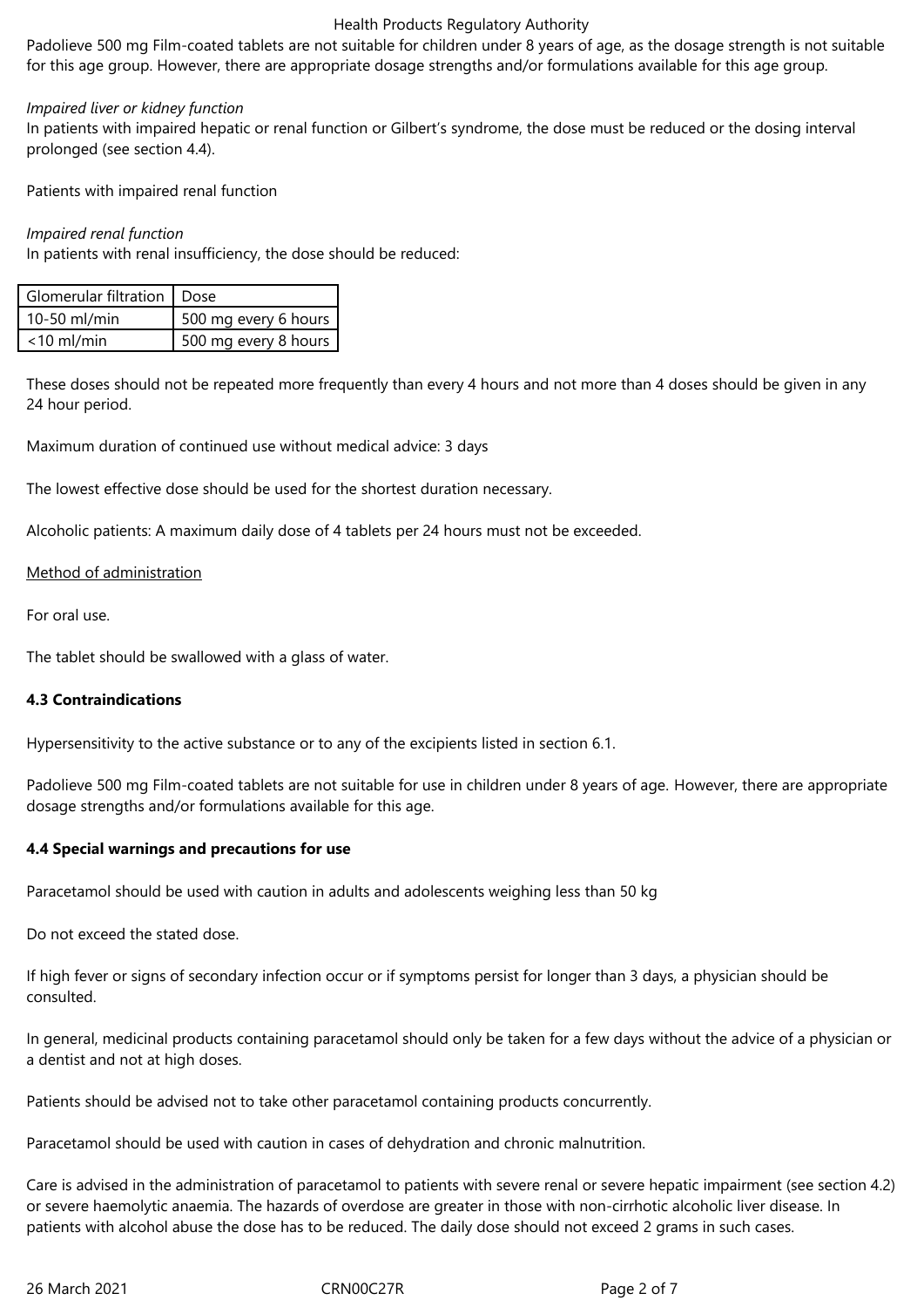#### Health Products Regulatory Authority

Padolieve 500 mg Film-coated tablets are not suitable for children under 8 years of age, as the dosage strength is not suitable for this age group. However, there are appropriate dosage strengths and/or formulations available for this age group.

#### *Impaired liver or kidney function*

In patients with impaired hepatic or renal function or Gilbert's syndrome, the dose must be reduced or the dosing interval prolonged (see section 4.4).

Patients with impaired renal function

#### *Impaired renal function*

In patients with renal insufficiency, the dose should be reduced:

| Glomerular filtration   Dose |                      |
|------------------------------|----------------------|
| 10-50 ml/min                 | 500 mg every 6 hours |
| $<$ 10 ml/min                | 500 mg every 8 hours |

These doses should not be repeated more frequently than every 4 hours and not more than 4 doses should be given in any 24 hour period.

Maximum duration of continued use without medical advice: 3 days

The lowest effective dose should be used for the shortest duration necessary.

Alcoholic patients: A maximum daily dose of 4 tablets per 24 hours must not be exceeded.

#### Method of administration

For oral use.

The tablet should be swallowed with a glass of water.

#### **4.3 Contraindications**

Hypersensitivity to the active substance or to any of the excipients listed in section 6.1.

Padolieve 500 mg Film-coated tablets are not suitable for use in children under 8 years of age. However, there are appropriate dosage strengths and/or formulations available for this age.

#### **4.4 Special warnings and precautions for use**

Paracetamol should be used with caution in adults and adolescents weighing less than 50 kg

Do not exceed the stated dose.

If high fever or signs of secondary infection occur or if symptoms persist for longer than 3 days, a physician should be consulted.

In general, medicinal products containing paracetamol should only be taken for a few days without the advice of a physician or a dentist and not at high doses.

Patients should be advised not to take other paracetamol containing products concurrently.

Paracetamol should be used with caution in cases of dehydration and chronic malnutrition.

Care is advised in the administration of paracetamol to patients with severe renal or severe hepatic impairment (see section 4.2) or severe haemolytic anaemia. The hazards of overdose are greater in those with non-cirrhotic alcoholic liver disease. In patients with alcohol abuse the dose has to be reduced. The daily dose should not exceed 2 grams in such cases.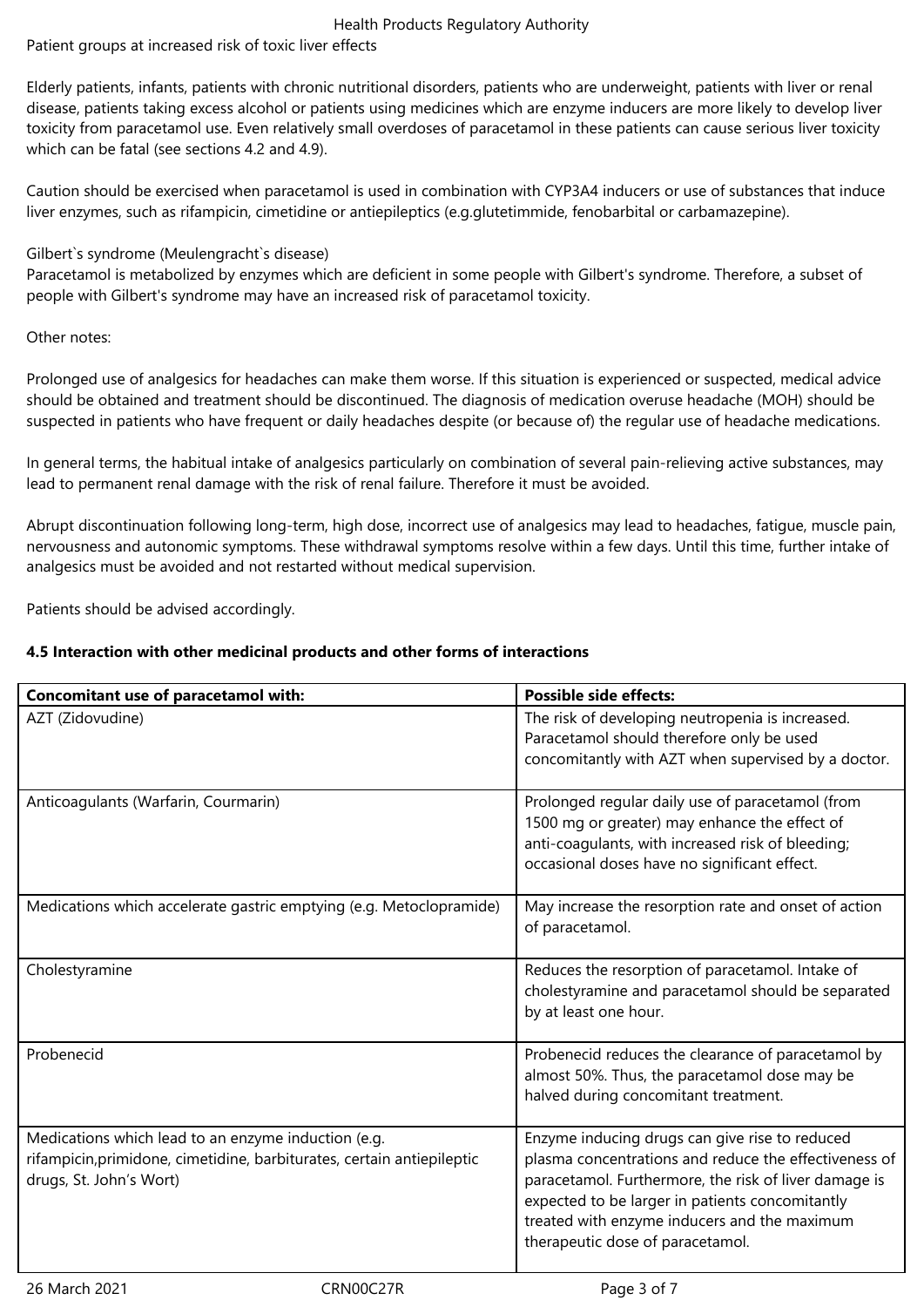## Health Products Regulatory Authority

Patient groups at increased risk of toxic liver effects

Elderly patients, infants, patients with chronic nutritional disorders, patients who are underweight, patients with liver or renal disease, patients taking excess alcohol or patients using medicines which are enzyme inducers are more likely to develop liver toxicity from paracetamol use. Even relatively small overdoses of paracetamol in these patients can cause serious liver toxicity which can be fatal (see sections 4.2 and 4.9).

Caution should be exercised when paracetamol is used in combination with CYP3A4 inducers or use of substances that induce liver enzymes, such as rifampicin, cimetidine or antiepileptics (e.g.glutetimmide, fenobarbital or carbamazepine).

#### Gilbert`s syndrome (Meulengracht`s disease)

Paracetamol is metabolized by enzymes which are deficient in some people with Gilbert's syndrome. Therefore, a subset of people with Gilbert's syndrome may have an increased risk of paracetamol toxicity.

#### Other notes:

Prolonged use of analgesics for headaches can make them worse. If this situation is experienced or suspected, medical advice should be obtained and treatment should be discontinued. The diagnosis of medication overuse headache (MOH) should be suspected in patients who have frequent or daily headaches despite (or because of) the regular use of headache medications.

In general terms, the habitual intake of analgesics particularly on combination of several pain-relieving active substances, may lead to permanent renal damage with the risk of renal failure. Therefore it must be avoided.

Abrupt discontinuation following long-term, high dose, incorrect use of analgesics may lead to headaches, fatigue, muscle pain, nervousness and autonomic symptoms. These withdrawal symptoms resolve within a few days. Until this time, further intake of analgesics must be avoided and not restarted without medical supervision.

Patients should be advised accordingly.

### **4.5 Interaction with other medicinal products and other forms of interactions**

| Concomitant use of paracetamol with:                                                                                                                     | <b>Possible side effects:</b>                                                                                                                                                                                                                                                                           |
|----------------------------------------------------------------------------------------------------------------------------------------------------------|---------------------------------------------------------------------------------------------------------------------------------------------------------------------------------------------------------------------------------------------------------------------------------------------------------|
| AZT (Zidovudine)                                                                                                                                         | The risk of developing neutropenia is increased.<br>Paracetamol should therefore only be used<br>concomitantly with AZT when supervised by a doctor.                                                                                                                                                    |
| Anticoagulants (Warfarin, Courmarin)                                                                                                                     | Prolonged regular daily use of paracetamol (from<br>1500 mg or greater) may enhance the effect of<br>anti-coagulants, with increased risk of bleeding;<br>occasional doses have no significant effect.                                                                                                  |
| Medications which accelerate gastric emptying (e.g. Metoclopramide)                                                                                      | May increase the resorption rate and onset of action<br>of paracetamol.                                                                                                                                                                                                                                 |
| Cholestyramine                                                                                                                                           | Reduces the resorption of paracetamol. Intake of<br>cholestyramine and paracetamol should be separated<br>by at least one hour.                                                                                                                                                                         |
| Probenecid                                                                                                                                               | Probenecid reduces the clearance of paracetamol by<br>almost 50%. Thus, the paracetamol dose may be<br>halved during concomitant treatment.                                                                                                                                                             |
| Medications which lead to an enzyme induction (e.g.<br>rifampicin, primidone, cimetidine, barbiturates, certain antiepileptic<br>drugs, St. John's Wort) | Enzyme inducing drugs can give rise to reduced<br>plasma concentrations and reduce the effectiveness of<br>paracetamol. Furthermore, the risk of liver damage is<br>expected to be larger in patients concomitantly<br>treated with enzyme inducers and the maximum<br>therapeutic dose of paracetamol. |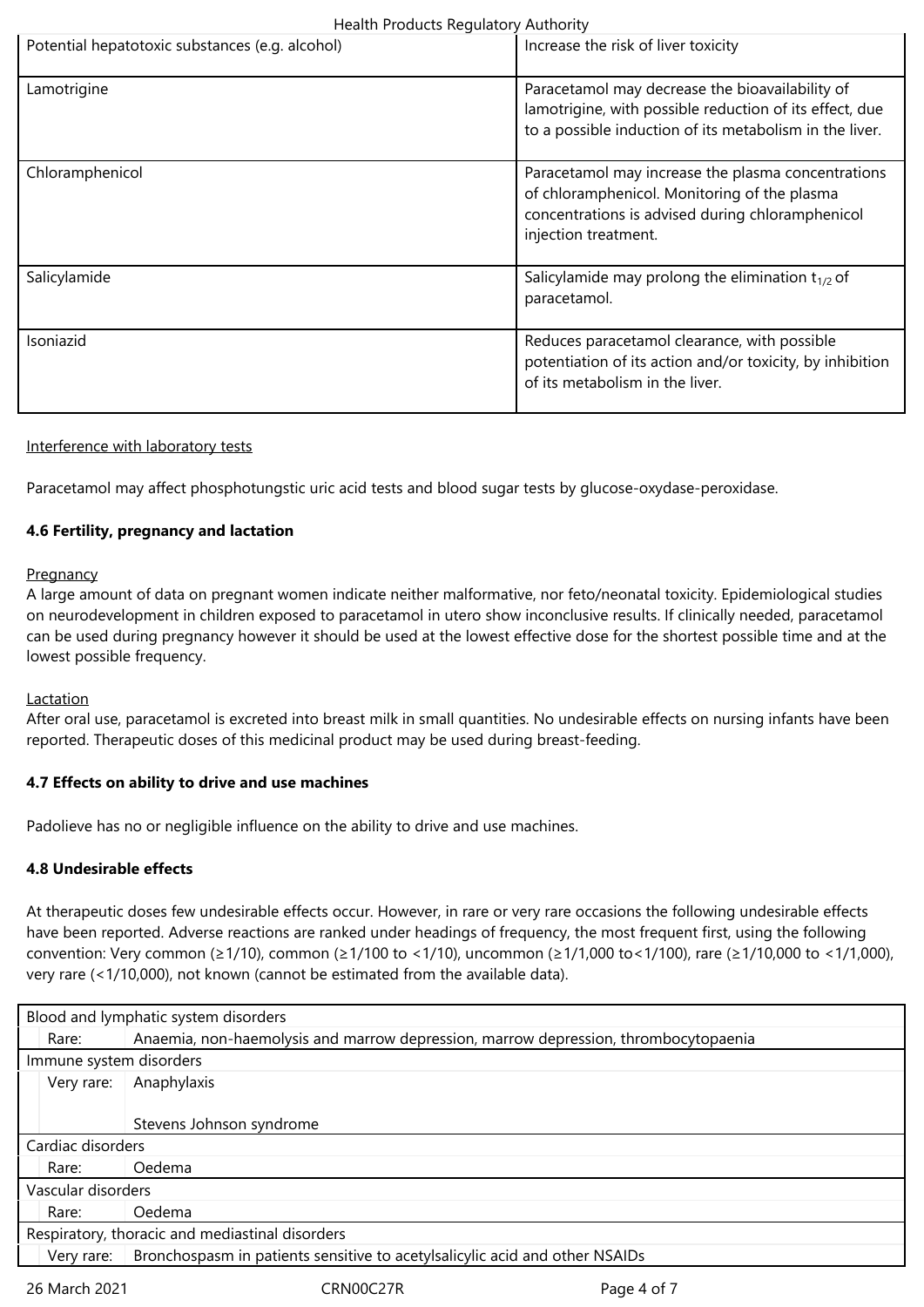| Potential hepatotoxic substances (e.g. alcohol) | Increase the risk of liver toxicity                                                                                                                                            |  |
|-------------------------------------------------|--------------------------------------------------------------------------------------------------------------------------------------------------------------------------------|--|
| Lamotrigine                                     | Paracetamol may decrease the bioavailability of<br>lamotrigine, with possible reduction of its effect, due<br>to a possible induction of its metabolism in the liver.          |  |
| Chloramphenicol                                 | Paracetamol may increase the plasma concentrations<br>of chloramphenicol. Monitoring of the plasma<br>concentrations is advised during chloramphenicol<br>injection treatment. |  |
| Salicylamide                                    | Salicylamide may prolong the elimination $t_{1/2}$ of<br>paracetamol.                                                                                                          |  |
| Isoniazid                                       | Reduces paracetamol clearance, with possible<br>potentiation of its action and/or toxicity, by inhibition<br>of its metabolism in the liver.                                   |  |

#### Interference with laboratory tests

Paracetamol may affect phosphotungstic uric acid tests and blood sugar tests by glucose-oxydase-peroxidase.

#### **4.6 Fertility, pregnancy and lactation**

#### **Pregnancy**

A large amount of data on pregnant women indicate neither malformative, nor feto/neonatal toxicity. Epidemiological studies on neurodevelopment in children exposed to paracetamol in utero show inconclusive results. If clinically needed, paracetamol can be used during pregnancy however it should be used at the lowest effective dose for the shortest possible time and at the lowest possible frequency.

#### Lactation

After oral use, paracetamol is excreted into breast milk in small quantities. No undesirable effects on nursing infants have been reported. Therapeutic doses of this medicinal product may be used during breast-feeding.

#### **4.7 Effects on ability to drive and use machines**

Padolieve has no or negligible influence on the ability to drive and use machines.

#### **4.8 Undesirable effects**

At therapeutic doses few undesirable effects occur. However, in rare or very rare occasions the following undesirable effects have been reported. Adverse reactions are ranked under headings of frequency, the most frequent first, using the following convention: Very common (≥1/10), common (≥1/100 to <1/10), uncommon (≥1/1,000 to<1/100), rare (≥1/10,000 to <1/1,000), very rare (<1/10,000), not known (cannot be estimated from the available data).

| Blood and lymphatic system disorders            |                                                                                     |  |  |
|-------------------------------------------------|-------------------------------------------------------------------------------------|--|--|
| Rare:                                           | Anaemia, non-haemolysis and marrow depression, marrow depression, thrombocytopaenia |  |  |
| Immune system disorders                         |                                                                                     |  |  |
| Very rare:                                      | Anaphylaxis                                                                         |  |  |
|                                                 |                                                                                     |  |  |
|                                                 | Stevens Johnson syndrome                                                            |  |  |
| Cardiac disorders                               |                                                                                     |  |  |
| Rare:                                           | Oedema                                                                              |  |  |
| Vascular disorders                              |                                                                                     |  |  |
| Rare:                                           | Oedema                                                                              |  |  |
| Respiratory, thoracic and mediastinal disorders |                                                                                     |  |  |
| Verv rare:                                      | Bronchospasm in patients sensitive to acetylsalicylic acid and other NSAIDs         |  |  |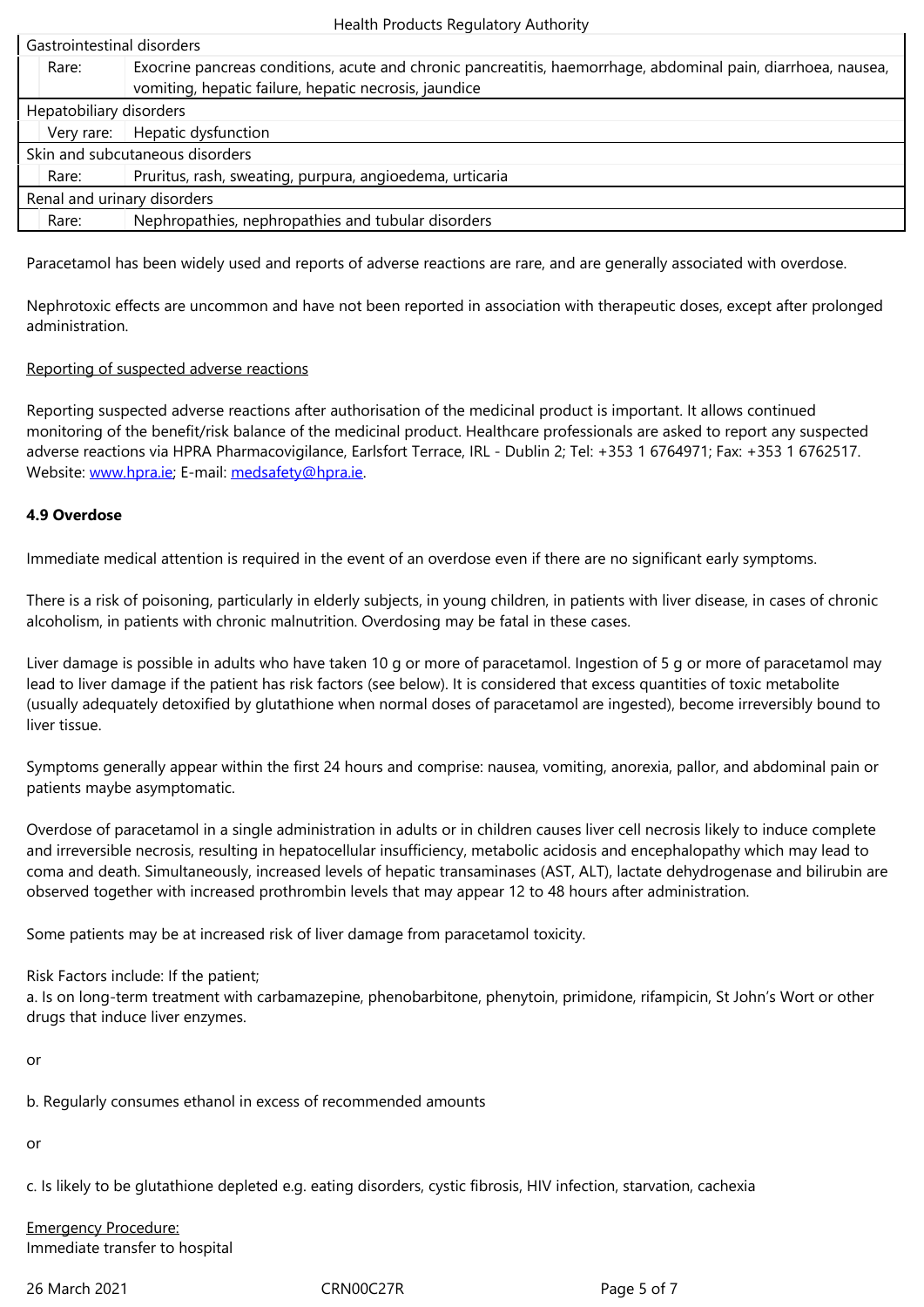| Gastrointestinal disorders      |       |                                                                                                                                                                        |  |  |
|---------------------------------|-------|------------------------------------------------------------------------------------------------------------------------------------------------------------------------|--|--|
|                                 | Rare: | Exocrine pancreas conditions, acute and chronic pancreatitis, haemorrhage, abdominal pain, diarrhoea, nausea,<br>vomiting, hepatic failure, hepatic necrosis, jaundice |  |  |
| Hepatobiliary disorders         |       |                                                                                                                                                                        |  |  |
|                                 |       | Very rare:   Hepatic dysfunction                                                                                                                                       |  |  |
| Skin and subcutaneous disorders |       |                                                                                                                                                                        |  |  |
|                                 | Rare: | Pruritus, rash, sweating, purpura, angioedema, urticaria                                                                                                               |  |  |
| Renal and urinary disorders     |       |                                                                                                                                                                        |  |  |
|                                 | Rare: | Nephropathies, nephropathies and tubular disorders                                                                                                                     |  |  |
|                                 |       |                                                                                                                                                                        |  |  |

Paracetamol has been widely used and reports of adverse reactions are rare, and are generally associated with overdose.

Nephrotoxic effects are uncommon and have not been reported in association with therapeutic doses, except after prolonged administration.

#### Reporting of suspected adverse reactions

Reporting suspected adverse reactions after authorisation of the medicinal product is important. It allows continued monitoring of the benefit/risk balance of the medicinal product. Healthcare professionals are asked to report any suspected adverse reactions via HPRA Pharmacovigilance, Earlsfort Terrace, IRL - Dublin 2; Tel: +353 1 6764971; Fax: +353 1 6762517. Website: www.hpra.ie; E-mail: medsafety@hpra.ie.

#### **4.9 Overdose**

Immediate medical attention is required in the event of an overdose even if there are no significant early symptoms.

There is a risk of poisoning, particularly in elderly subjects, in young children, in patients with liver disease, in cases of chronic alcoholism, in patients with chronic malnutrition. Overdosing may be fatal in these cases.

Liver damage is possible in adults who have taken 10 g or more of paracetamol. Ingestion of 5 g or more of paracetamol may lead to liver damage if the patient has risk factors (see below). It is considered that excess quantities of toxic metabolite (usually adequately detoxified by glutathione when normal doses of paracetamol are ingested), become irreversibly bound to liver tissue.

Symptoms generally appear within the first 24 hours and comprise: nausea, vomiting, anorexia, pallor, and abdominal pain or patients maybe asymptomatic.

Overdose of paracetamol in a single administration in adults or in children causes liver cell necrosis likely to induce complete and irreversible necrosis, resulting in hepatocellular insufficiency, metabolic acidosis and encephalopathy which may lead to coma and death. Simultaneously, increased levels of hepatic transaminases (AST, ALT), lactate dehydrogenase and bilirubin are observed together with increased prothrombin levels that may appear 12 to 48 hours after administration.

Some patients may be at increased risk of liver damage from paracetamol toxicity.

Risk Factors include: If the patient;

a. Is on long-term treatment with carbamazepine, phenobarbitone, phenytoin, primidone, rifampicin, St John's Wort or other drugs that induce liver enzymes.

or

b. Regularly consumes ethanol in excess of recommended amounts

or

c. Is likely to be glutathione depleted e.g. eating disorders, cystic fibrosis, HIV infection, starvation, cachexia

Emergency Procedure: Immediate transfer to hospital

26 March 2021 CRN00C27R Page 5 of 7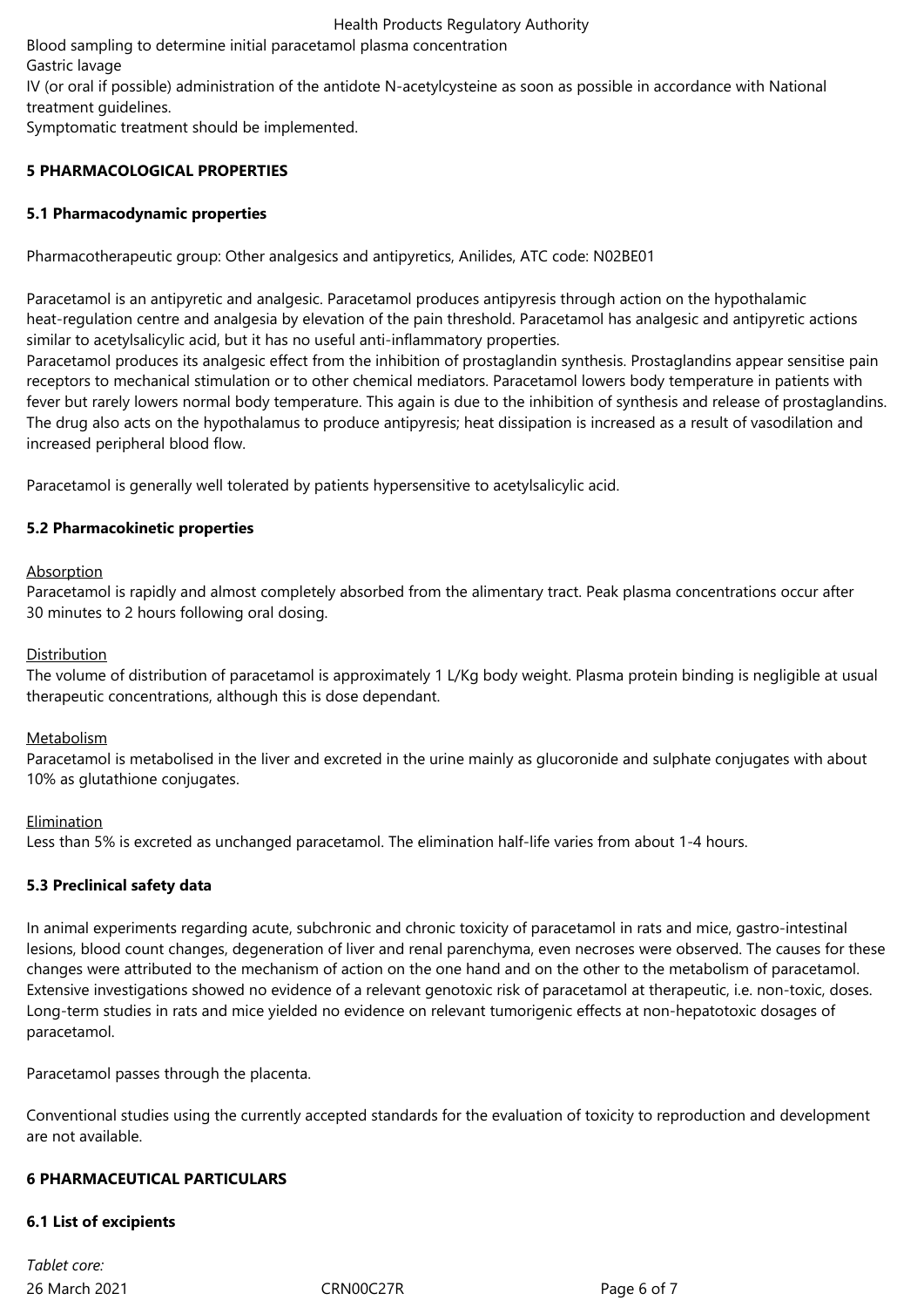Health Products Regulatory Authority

Blood sampling to determine initial paracetamol plasma concentration Gastric lavage

IV (or oral if possible) administration of the antidote N-acetylcysteine as soon as possible in accordance with National treatment guidelines.

Symptomatic treatment should be implemented.

# **5 PHARMACOLOGICAL PROPERTIES**

# **5.1 Pharmacodynamic properties**

Pharmacotherapeutic group: Other analgesics and antipyretics, Anilides, ATC code: N02BE01

Paracetamol is an antipyretic and analgesic. Paracetamol produces antipyresis through action on the hypothalamic heat-regulation centre and analgesia by elevation of the pain threshold. Paracetamol has analgesic and antipyretic actions similar to acetylsalicylic acid, but it has no useful anti-inflammatory properties.

Paracetamol produces its analgesic effect from the inhibition of prostaglandin synthesis. Prostaglandins appear sensitise pain receptors to mechanical stimulation or to other chemical mediators. Paracetamol lowers body temperature in patients with fever but rarely lowers normal body temperature. This again is due to the inhibition of synthesis and release of prostaglandins. The drug also acts on the hypothalamus to produce antipyresis; heat dissipation is increased as a result of vasodilation and increased peripheral blood flow.

Paracetamol is generally well tolerated by patients hypersensitive to acetylsalicylic acid.

# **5.2 Pharmacokinetic properties**

## Absorption

Paracetamol is rapidly and almost completely absorbed from the alimentary tract. Peak plasma concentrations occur after 30 minutes to 2 hours following oral dosing.

## Distribution

The volume of distribution of paracetamol is approximately 1 L/Kg body weight. Plasma protein binding is negligible at usual therapeutic concentrations, although this is dose dependant.

## Metabolism

Paracetamol is metabolised in the liver and excreted in the urine mainly as glucoronide and sulphate conjugates with about 10% as glutathione conjugates.

## **Elimination**

Less than 5% is excreted as unchanged paracetamol. The elimination half-life varies from about 1-4 hours.

# **5.3 Preclinical safety data**

In animal experiments regarding acute, subchronic and chronic toxicity of paracetamol in rats and mice, gastro-intestinal lesions, blood count changes, degeneration of liver and renal parenchyma, even necroses were observed. The causes for these changes were attributed to the mechanism of action on the one hand and on the other to the metabolism of paracetamol. Extensive investigations showed no evidence of a relevant genotoxic risk of paracetamol at therapeutic, i.e. non-toxic, doses. Long-term studies in rats and mice yielded no evidence on relevant tumorigenic effects at non-hepatotoxic dosages of paracetamol.

Paracetamol passes through the placenta.

Conventional studies using the currently accepted standards for the evaluation of toxicity to reproduction and development are not available.

## **6 PHARMACEUTICAL PARTICULARS**

## **6.1 List of excipients**

26 March 2021 CRN00C27R Page 6 of 7 *Tablet core:*